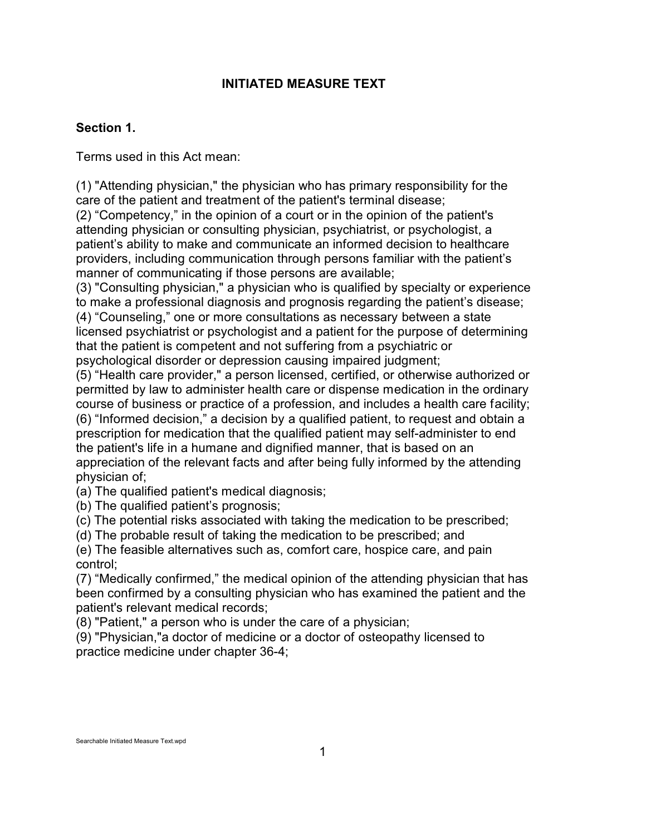# **INITIATED MEASURE TEXT**

# **Section 1.**

Terms used in this Act mean:

(1) "Attending physician," the physician who has primary responsibility for the care of the patient and treatment of the patient's terminal disease;

(2) "Competency," in the opinion of a court or in the opinion of the patient's attending physician or consulting physician, psychiatrist, or psychologist, a patient's ability to make and communicate an informed decision to healthcare providers, including communication through persons familiar with the patient's manner of communicating if those persons are available;

(3) "Consulting physician," a physician who is qualified by specialty or experience to make a professional diagnosis and prognosis regarding the patient's disease;

(4) "Counseling," one or more consultations as necessary between a state licensed psychiatrist or psychologist and a patient for the purpose of determining that the patient is competent and not suffering from a psychiatric or psychological disorder or depression causing impaired judgment;

(5) "Health care provider," a person licensed, certified, or otherwise authorized or permitted by law to administer health care or dispense medication in the ordinary course of business or practice of a profession, and includes a health care facility; (6) "Informed decision," a decision by a qualified patient, to request and obtain a prescription for medication that the qualified patient may self-administer to end

the patient's life in a humane and dignified manner, that is based on an appreciation of the relevant facts and after being fully informed by the attending physician of;

(a) The qualified patient's medical diagnosis;

(b) The qualified patient's prognosis;

(c) The potential risks associated with taking the medication to be prescribed;

(d) The probable result of taking the medication to be prescribed; and

(e) The feasible alternatives such as, comfort care, hospice care, and pain control;

(7) "Medically confirmed," the medical opinion of the attending physician that has been confirmed by a consulting physician who has examined the patient and the patient's relevant medical records;

(8) "Patient," a person who is under the care of a physician;

(9) "Physician,"a doctor of medicine or a doctor of osteopathy licensed to practice medicine under chapter 36-4;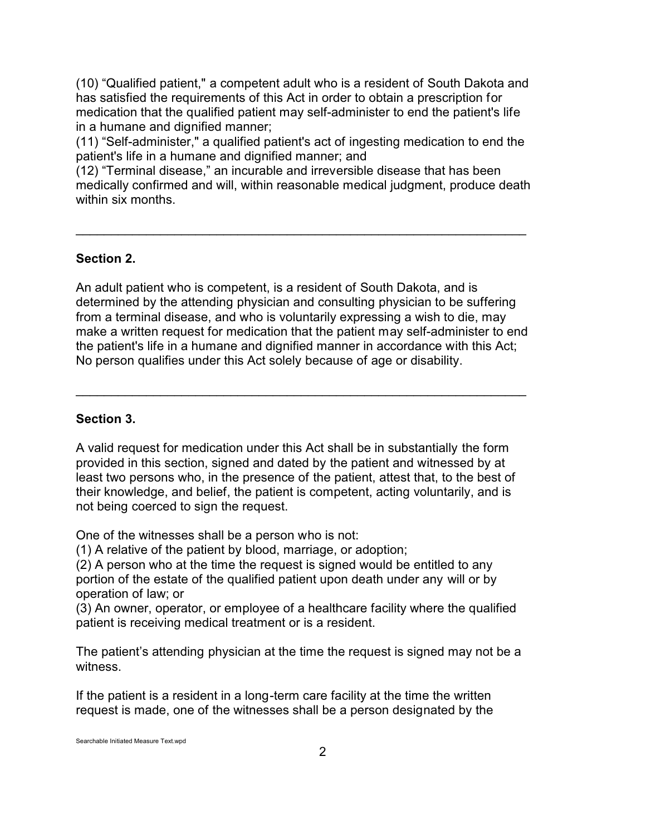(10) "Qualified patient," a competent adult who is a resident of South Dakota and has satisfied the requirements of this Act in order to obtain a prescription for medication that the qualified patient may self-administer to end the patient's life in a humane and dignified manner;

(11) "Self-administer," a qualified patient's act of ingesting medication to end the patient's life in a humane and dignified manner; and

(12) "Terminal disease," an incurable and irreversible disease that has been medically confirmed and will, within reasonable medical judgment, produce death within six months.

\_\_\_\_\_\_\_\_\_\_\_\_\_\_\_\_\_\_\_\_\_\_\_\_\_\_\_\_\_\_\_\_\_\_\_\_\_\_\_\_\_\_\_\_\_\_\_\_\_\_\_\_\_\_\_\_\_\_\_\_\_\_\_\_

## **Section 2.**

An adult patient who is competent, is a resident of South Dakota, and is determined by the attending physician and consulting physician to be suffering from a terminal disease, and who is voluntarily expressing a wish to die, may make a written request for medication that the patient may self-administer to end the patient's life in a humane and dignified manner in accordance with this Act; No person qualifies under this Act solely because of age or disability.

\_\_\_\_\_\_\_\_\_\_\_\_\_\_\_\_\_\_\_\_\_\_\_\_\_\_\_\_\_\_\_\_\_\_\_\_\_\_\_\_\_\_\_\_\_\_\_\_\_\_\_\_\_\_\_\_\_\_\_\_\_\_\_\_

### **Section 3.**

A valid request for medication under this Act shall be in substantially the form provided in this section, signed and dated by the patient and witnessed by at least two persons who, in the presence of the patient, attest that, to the best of their knowledge, and belief, the patient is competent, acting voluntarily, and is not being coerced to sign the request.

One of the witnesses shall be a person who is not:

(1) A relative of the patient by blood, marriage, or adoption;

(2) A person who at the time the request is signed would be entitled to any portion of the estate of the qualified patient upon death under any will or by operation of law; or

(3) An owner, operator, or employee of a healthcare facility where the qualified patient is receiving medical treatment or is a resident.

The patient's attending physician at the time the request is signed may not be a witness.

If the patient is a resident in a long-term care facility at the time the written request is made, one of the witnesses shall be a person designated by the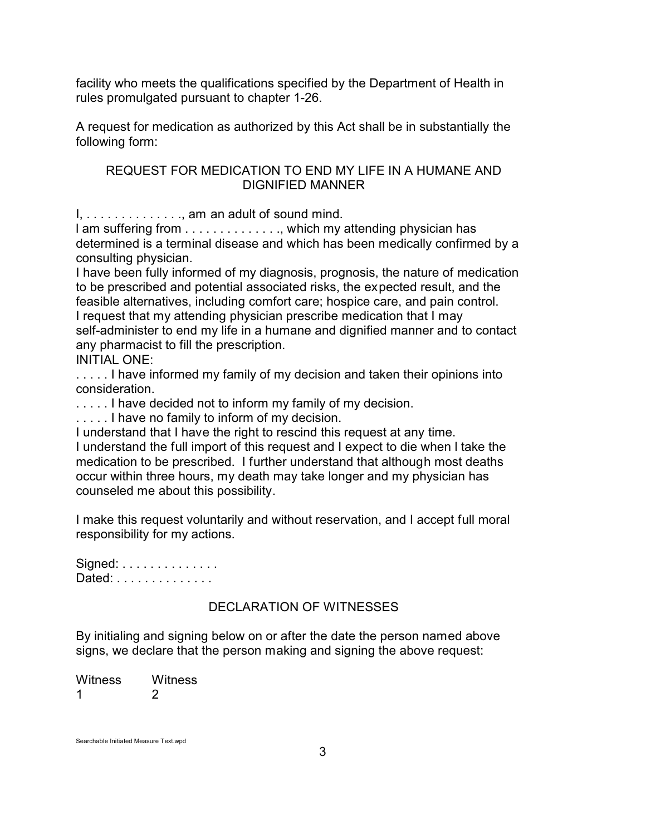facility who meets the qualifications specified by the Department of Health in rules promulgated pursuant to chapter 1-26.

A request for medication as authorized by this Act shall be in substantially the following form:

## REQUEST FOR MEDICATION TO END MY LIFE IN A HUMANE AND DIGNIFIED MANNER

 $I, \ldots, \ldots, \ldots,$  am an adult of sound mind.

l am suffering from . . . . . . . . . . . . . ., which my attending physician has determined is a terminal disease and which has been medically confirmed by a consulting physician.

I have been fully informed of my diagnosis, prognosis, the nature of medication to be prescribed and potential associated risks, the expected result, and the feasible alternatives, including comfort care; hospice care, and pain control. I request that my attending physician prescribe medication that I may self-administer to end my life in a humane and dignified manner and to contact any pharmacist to fill the prescription.

INITIAL ONE:

..... I have informed my family of my decision and taken their opinions into consideration.

..... I have decided not to inform my family of my decision.

..... I have no family to inform of my decision.

I understand that I have the right to rescind this request at any time. I understand the full import of this request and I expect to die when l take the medication to be prescribed. I further understand that although most deaths occur within three hours, my death may take longer and my physician has counseled me about this possibility.

I make this request voluntarily and without reservation, and I accept full moral responsibility for my actions.

Signed: . . . . . . . . . . . . . . Dated: . . . . . . . . . . . . . .

# DECLARATION OF WITNESSES

By initialing and signing below on or after the date the person named above signs, we declare that the person making and signing the above request:

Witness Witness 1 2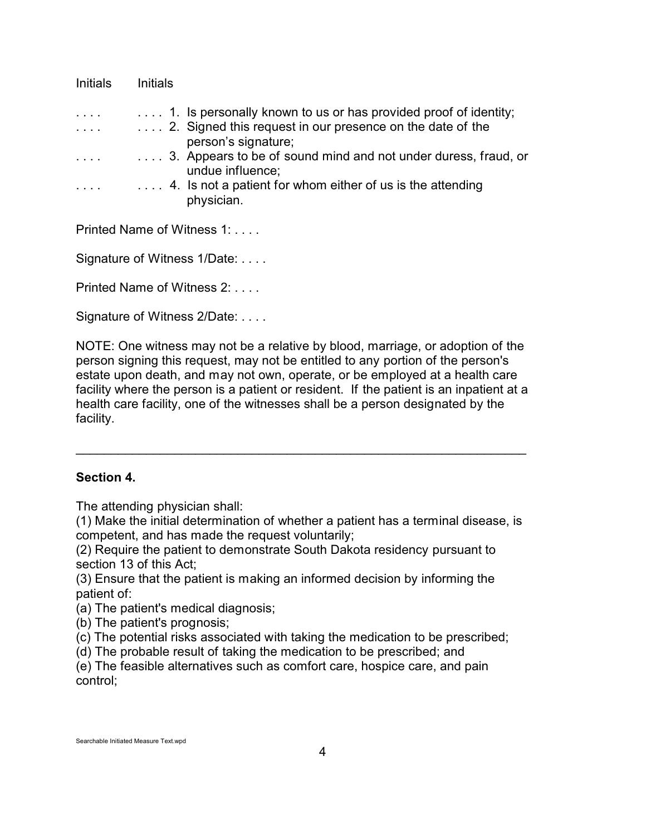| <b>Initials</b> | Initials                                                                                                                                            |
|-----------------|-----------------------------------------------------------------------------------------------------------------------------------------------------|
| $\cdots$        | 1. Is personally known to us or has provided proof of identity;<br>2. Signed this request in our presence on the date of the<br>person's signature; |
| $\cdots$        | 3. Appears to be of sound mind and not under duress, fraud, or<br>undue influence;                                                                  |
|                 | 4. Is not a patient for whom either of us is the attending<br>physician.                                                                            |
|                 |                                                                                                                                                     |

Printed Name of Witness 1: . . . .

Signature of Witness 1/Date: . . . .

Printed Name of Witness 2: . . . .

Signature of Witness 2/Date: . . . .

NOTE: One witness may not be a relative by blood, marriage, or adoption of the person signing this request, may not be entitled to any portion of the person's estate upon death, and may not own, operate, or be employed at a health care facility where the person is a patient or resident. If the patient is an inpatient at a health care facility, one of the witnesses shall be a person designated by the facility.

\_\_\_\_\_\_\_\_\_\_\_\_\_\_\_\_\_\_\_\_\_\_\_\_\_\_\_\_\_\_\_\_\_\_\_\_\_\_\_\_\_\_\_\_\_\_\_\_\_\_\_\_\_\_\_\_\_\_\_\_\_\_\_\_

### **Section 4.**

The attending physician shall:

(1) Make the initial determination of whether a patient has a terminal disease, is competent, and has made the request voluntarily;

(2) Require the patient to demonstrate South Dakota residency pursuant to section 13 of this Act;

(3) Ensure that the patient is making an informed decision by informing the patient of:

(a) The patient's medical diagnosis;

(b) The patient's prognosis;

(c) The potential risks associated with taking the medication to be prescribed;

(d) The probable result of taking the medication to be prescribed; and

(e) The feasible alternatives such as comfort care, hospice care, and pain control;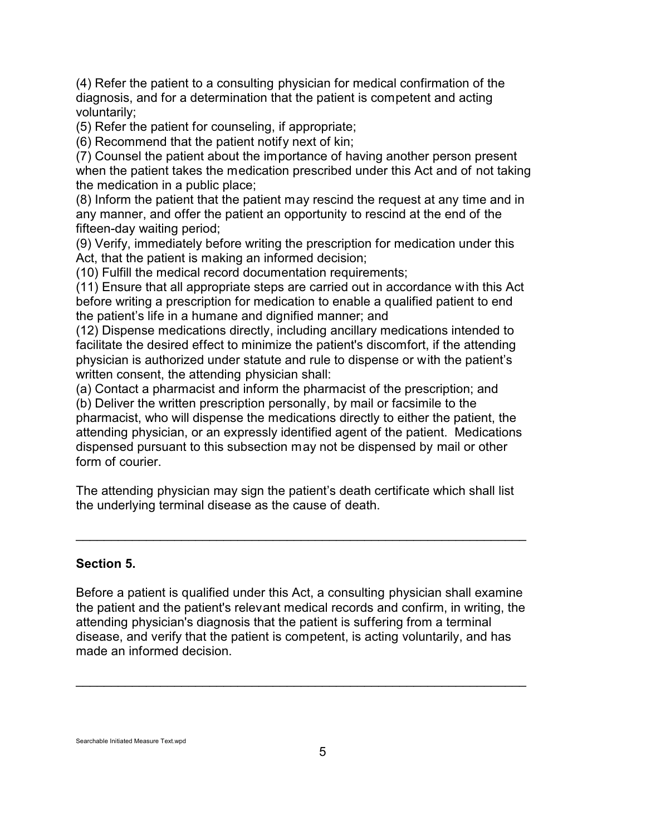(4) Refer the patient to a consulting physician for medical confirmation of the diagnosis, and for a determination that the patient is competent and acting voluntarily;

(5) Refer the patient for counseling, if appropriate;

(6) Recommend that the patient notify next of kin;

(7) Counsel the patient about the importance of having another person present when the patient takes the medication prescribed under this Act and of not taking the medication in a public place;

(8) Inform the patient that the patient may rescind the request at any time and in any manner, and offer the patient an opportunity to rescind at the end of the fifteen-day waiting period;

(9) Verify, immediately before writing the prescription for medication under this Act, that the patient is making an informed decision;

(10) Fulfill the medical record documentation requirements;

(11) Ensure that all appropriate steps are carried out in accordance with this Act before writing a prescription for medication to enable a qualified patient to end the patient's life in a humane and dignified manner; and

(12) Dispense medications directly, including ancillary medications intended to facilitate the desired effect to minimize the patient's discomfort, if the attending physician is authorized under statute and rule to dispense or with the patient's written consent, the attending physician shall:

(a) Contact a pharmacist and inform the pharmacist of the prescription; and

(b) Deliver the written prescription personally, by mail or facsimile to the pharmacist, who will dispense the medications directly to either the patient, the attending physician, or an expressly identified agent of the patient. Medications dispensed pursuant to this subsection may not be dispensed by mail or other form of courier.

The attending physician may sign the patient's death certificate which shall list the underlying terminal disease as the cause of death.

\_\_\_\_\_\_\_\_\_\_\_\_\_\_\_\_\_\_\_\_\_\_\_\_\_\_\_\_\_\_\_\_\_\_\_\_\_\_\_\_\_\_\_\_\_\_\_\_\_\_\_\_\_\_\_\_\_\_\_\_\_\_\_\_

## **Section 5.**

Before a patient is qualified under this Act, a consulting physician shall examine the patient and the patient's relevant medical records and confirm, in writing, the attending physician's diagnosis that the patient is suffering from a terminal disease, and verify that the patient is competent, is acting voluntarily, and has made an informed decision.

\_\_\_\_\_\_\_\_\_\_\_\_\_\_\_\_\_\_\_\_\_\_\_\_\_\_\_\_\_\_\_\_\_\_\_\_\_\_\_\_\_\_\_\_\_\_\_\_\_\_\_\_\_\_\_\_\_\_\_\_\_\_\_\_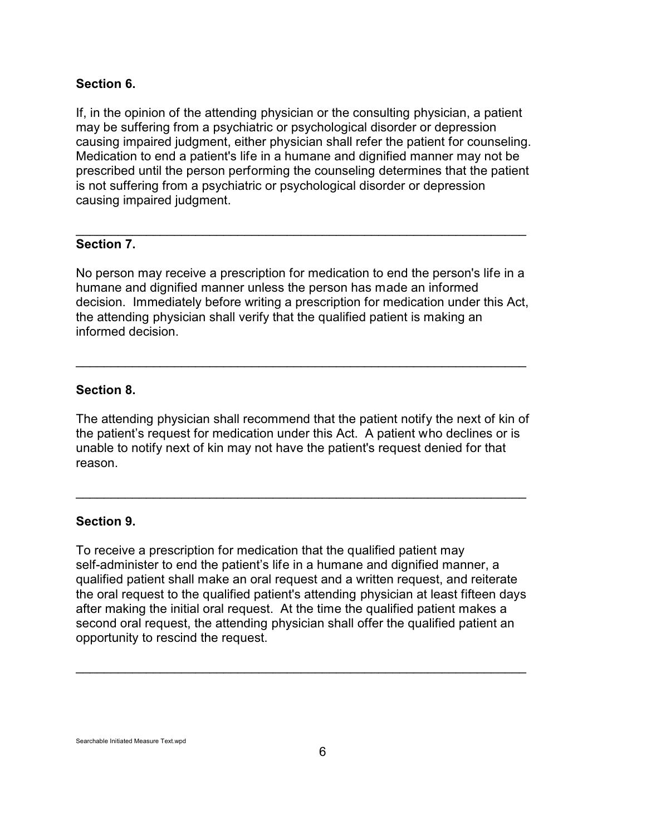### **Section 6.**

If, in the opinion of the attending physician or the consulting physician, a patient may be suffering from a psychiatric or psychological disorder or depression causing impaired judgment, either physician shall refer the patient for counseling. Medication to end a patient's life in a humane and dignified manner may not be prescribed until the person performing the counseling determines that the patient is not suffering from a psychiatric or psychological disorder or depression causing impaired judgment.

## **Section 7.**

No person may receive a prescription for medication to end the person's life in a humane and dignified manner unless the person has made an informed decision. Immediately before writing a prescription for medication under this Act, the attending physician shall verify that the qualified patient is making an informed decision.

\_\_\_\_\_\_\_\_\_\_\_\_\_\_\_\_\_\_\_\_\_\_\_\_\_\_\_\_\_\_\_\_\_\_\_\_\_\_\_\_\_\_\_\_\_\_\_\_\_\_\_\_\_\_\_\_\_\_\_\_\_\_\_\_

\_\_\_\_\_\_\_\_\_\_\_\_\_\_\_\_\_\_\_\_\_\_\_\_\_\_\_\_\_\_\_\_\_\_\_\_\_\_\_\_\_\_\_\_\_\_\_\_\_\_\_\_\_\_\_\_\_\_\_\_\_\_\_\_

## **Section 8.**

The attending physician shall recommend that the patient notify the next of kin of the patient's request for medication under this Act. A patient who declines or is unable to notify next of kin may not have the patient's request denied for that reason.

\_\_\_\_\_\_\_\_\_\_\_\_\_\_\_\_\_\_\_\_\_\_\_\_\_\_\_\_\_\_\_\_\_\_\_\_\_\_\_\_\_\_\_\_\_\_\_\_\_\_\_\_\_\_\_\_\_\_\_\_\_\_\_\_

### **Section 9.**

To receive a prescription for medication that the qualified patient may self-administer to end the patient's life in a humane and dignified manner, a qualified patient shall make an oral request and a written request, and reiterate the oral request to the qualified patient's attending physician at least fifteen days after making the initial oral request. At the time the qualified patient makes a second oral request, the attending physician shall offer the qualified patient an opportunity to rescind the request.

\_\_\_\_\_\_\_\_\_\_\_\_\_\_\_\_\_\_\_\_\_\_\_\_\_\_\_\_\_\_\_\_\_\_\_\_\_\_\_\_\_\_\_\_\_\_\_\_\_\_\_\_\_\_\_\_\_\_\_\_\_\_\_\_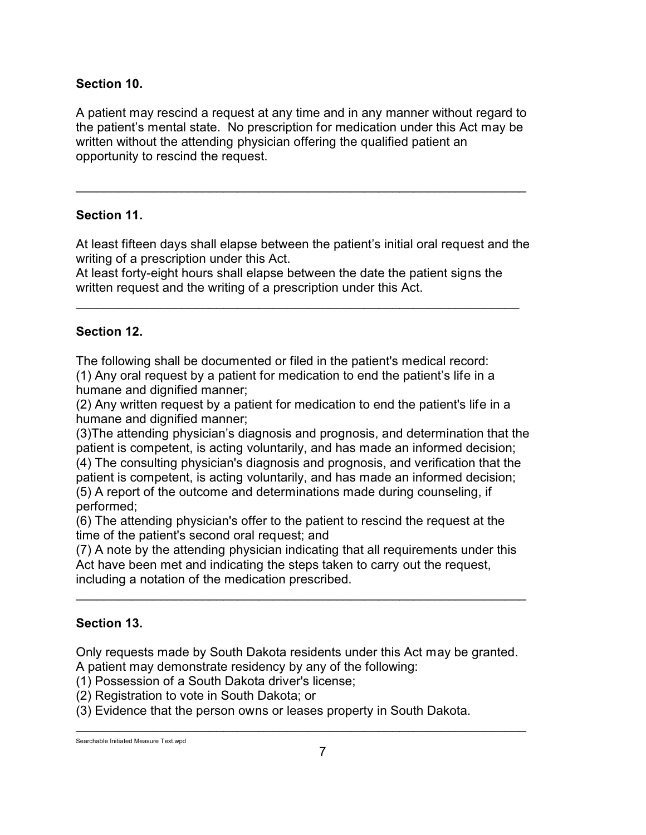# **Section 10.**

A patient may rescind a request at any time and in any manner without regard to the patient's mental state. No prescription for medication under this Act may be written without the attending physician offering the qualified patient an opportunity to rescind the request.

\_\_\_\_\_\_\_\_\_\_\_\_\_\_\_\_\_\_\_\_\_\_\_\_\_\_\_\_\_\_\_\_\_\_\_\_\_\_\_\_\_\_\_\_\_\_\_\_\_\_\_\_\_\_\_\_\_\_\_\_\_\_\_\_

# **Section 11.**

At least fifteen days shall elapse between the patient's initial oral request and the writing of a prescription under this Act.

At least forty-eight hours shall elapse between the date the patient signs the written request and the writing of a prescription under this Act.

\_\_\_\_\_\_\_\_\_\_\_\_\_\_\_\_\_\_\_\_\_\_\_\_\_\_\_\_\_\_\_\_\_\_\_\_\_\_\_\_\_\_\_\_\_\_\_\_\_\_\_\_\_\_\_\_\_\_\_\_\_\_\_

# **Section 12.**

The following shall be documented or filed in the patient's medical record:

(1) Any oral request by a patient for medication to end the patient's life in a humane and dignified manner;

(2) Any written request by a patient for medication to end the patient's life in a humane and dignified manner;

(3)The attending physician's diagnosis and prognosis, and determination that the patient is competent, is acting voluntarily, and has made an informed decision;

(4) The consulting physician's diagnosis and prognosis, and verification that the patient is competent, is acting voluntarily, and has made an informed decision;

(5) A report of the outcome and determinations made during counseling, if performed;

(6) The attending physician's offer to the patient to rescind the request at the time of the patient's second oral request; and

(7) A note by the attending physician indicating that all requirements under this Act have been met and indicating the steps taken to carry out the request, including a notation of the medication prescribed.

\_\_\_\_\_\_\_\_\_\_\_\_\_\_\_\_\_\_\_\_\_\_\_\_\_\_\_\_\_\_\_\_\_\_\_\_\_\_\_\_\_\_\_\_\_\_\_\_\_\_\_\_\_\_\_\_\_\_\_\_\_\_\_\_

# **Section 13.**

Only requests made by South Dakota residents under this Act may be granted. A patient may demonstrate residency by any of the following:

\_\_\_\_\_\_\_\_\_\_\_\_\_\_\_\_\_\_\_\_\_\_\_\_\_\_\_\_\_\_\_\_\_\_\_\_\_\_\_\_\_\_\_\_\_\_\_\_\_\_\_\_\_\_\_\_\_\_\_\_\_\_\_\_

(1) Possession of a South Dakota driver's license;

(2) Registration to vote in South Dakota; or

(3) Evidence that the person owns or leases property in South Dakota.

Searchable Initiated Measure Text.wpd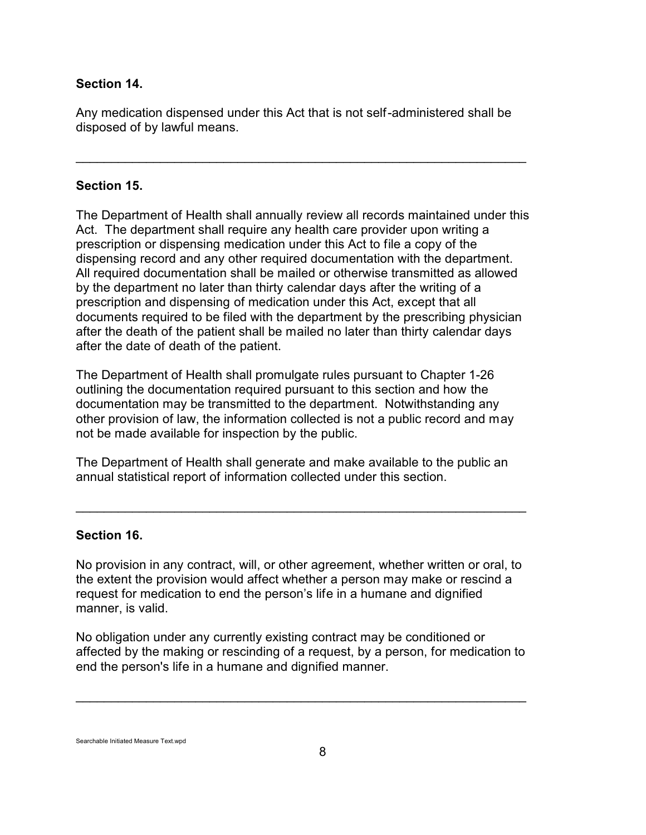## **Section 14.**

Any medication dispensed under this Act that is not self-administered shall be disposed of by lawful means.

\_\_\_\_\_\_\_\_\_\_\_\_\_\_\_\_\_\_\_\_\_\_\_\_\_\_\_\_\_\_\_\_\_\_\_\_\_\_\_\_\_\_\_\_\_\_\_\_\_\_\_\_\_\_\_\_\_\_\_\_\_\_\_\_

## **Section 15.**

The Department of Health shall annually review all records maintained under this Act. The department shall require any health care provider upon writing a prescription or dispensing medication under this Act to file a copy of the dispensing record and any other required documentation with the department. All required documentation shall be mailed or otherwise transmitted as allowed by the department no later than thirty calendar days after the writing of a prescription and dispensing of medication under this Act, except that all documents required to be filed with the department by the prescribing physician after the death of the patient shall be mailed no later than thirty calendar days after the date of death of the patient.

The Department of Health shall promulgate rules pursuant to Chapter 1-26 outlining the documentation required pursuant to this section and how the documentation may be transmitted to the department. Notwithstanding any other provision of law, the information collected is not a public record and may not be made available for inspection by the public.

The Department of Health shall generate and make available to the public an annual statistical report of information collected under this section.

\_\_\_\_\_\_\_\_\_\_\_\_\_\_\_\_\_\_\_\_\_\_\_\_\_\_\_\_\_\_\_\_\_\_\_\_\_\_\_\_\_\_\_\_\_\_\_\_\_\_\_\_\_\_\_\_\_\_\_\_\_\_\_\_

### **Section 16.**

No provision in any contract, will, or other agreement, whether written or oral, to the extent the provision would affect whether a person may make or rescind a request for medication to end the person's life in a humane and dignified manner, is valid.

No obligation under any currently existing contract may be conditioned or affected by the making or rescinding of a request, by a person, for medication to end the person's life in a humane and dignified manner.

\_\_\_\_\_\_\_\_\_\_\_\_\_\_\_\_\_\_\_\_\_\_\_\_\_\_\_\_\_\_\_\_\_\_\_\_\_\_\_\_\_\_\_\_\_\_\_\_\_\_\_\_\_\_\_\_\_\_\_\_\_\_\_\_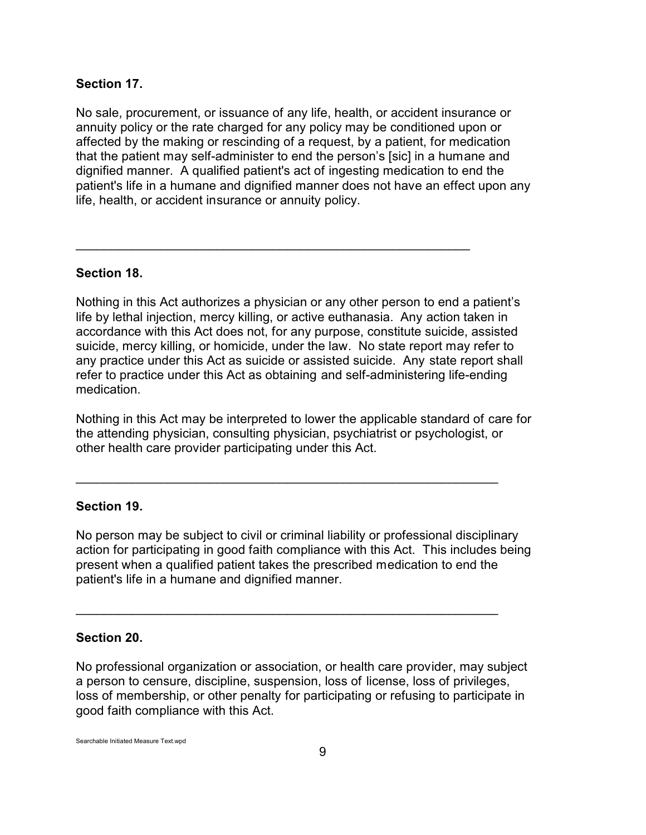### **Section 17.**

No sale, procurement, or issuance of any life, health, or accident insurance or annuity policy or the rate charged for any policy may be conditioned upon or affected by the making or rescinding of a request, by a patient, for medication that the patient may self-administer to end the person's [sic] in a humane and dignified manner. A qualified patient's act of ingesting medication to end the patient's life in a humane and dignified manner does not have an effect upon any life, health, or accident insurance or annuity policy.

### **Section 18.**

Nothing in this Act authorizes a physician or any other person to end a patient's life by lethal injection, mercy killing, or active euthanasia. Any action taken in accordance with this Act does not, for any purpose, constitute suicide, assisted suicide, mercy killing, or homicide, under the law. No state report may refer to any practice under this Act as suicide or assisted suicide. Any state report shall refer to practice under this Act as obtaining and self-administering life-ending medication.

\_\_\_\_\_\_\_\_\_\_\_\_\_\_\_\_\_\_\_\_\_\_\_\_\_\_\_\_\_\_\_\_\_\_\_\_\_\_\_\_\_\_\_\_\_\_\_\_\_\_\_\_\_\_\_\_

Nothing in this Act may be interpreted to lower the applicable standard of care for the attending physician, consulting physician, psychiatrist or psychologist, or other health care provider participating under this Act.

\_\_\_\_\_\_\_\_\_\_\_\_\_\_\_\_\_\_\_\_\_\_\_\_\_\_\_\_\_\_\_\_\_\_\_\_\_\_\_\_\_\_\_\_\_\_\_\_\_\_\_\_\_\_\_\_\_\_\_\_

\_\_\_\_\_\_\_\_\_\_\_\_\_\_\_\_\_\_\_\_\_\_\_\_\_\_\_\_\_\_\_\_\_\_\_\_\_\_\_\_\_\_\_\_\_\_\_\_\_\_\_\_\_\_\_\_\_\_\_\_

#### **Section 19.**

No person may be subject to civil or criminal liability or professional disciplinary action for participating in good faith compliance with this Act. This includes being present when a qualified patient takes the prescribed medication to end the patient's life in a humane and dignified manner.

### **Section 20.**

No professional organization or association, or health care provider, may subject a person to censure, discipline, suspension, loss of license, loss of privileges, loss of membership, or other penalty for participating or refusing to participate in good faith compliance with this Act.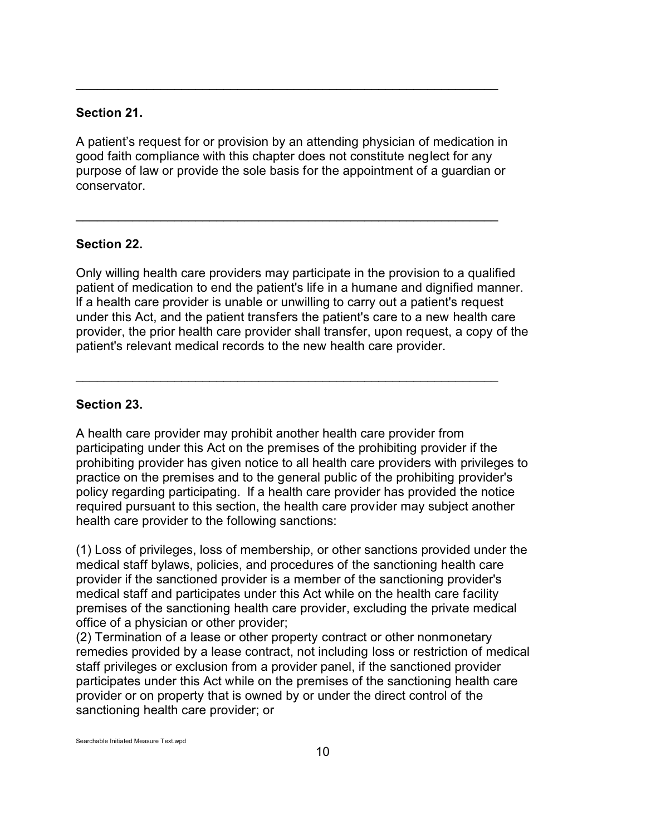### **Section 21.**

A patient's request for or provision by an attending physician of medication in good faith compliance with this chapter does not constitute neglect for any purpose of law or provide the sole basis for the appointment of a guardian or conservator.

\_\_\_\_\_\_\_\_\_\_\_\_\_\_\_\_\_\_\_\_\_\_\_\_\_\_\_\_\_\_\_\_\_\_\_\_\_\_\_\_\_\_\_\_\_\_\_\_\_\_\_\_\_\_\_\_\_\_\_\_

 $\mathcal{L}_\text{G}$ 

## **Section 22.**

Only willing health care providers may participate in the provision to a qualified patient of medication to end the patient's life in a humane and dignified manner. lf a health care provider is unable or unwilling to carry out a patient's request under this Act, and the patient transfers the patient's care to a new health care provider, the prior health care provider shall transfer, upon request, a copy of the patient's relevant medical records to the new health care provider.

 $\mathcal{L}_\text{G}$ 

## **Section 23.**

A health care provider may prohibit another health care provider from participating under this Act on the premises of the prohibiting provider if the prohibiting provider has given notice to all health care providers with privileges to practice on the premises and to the general public of the prohibiting provider's policy regarding participating. lf a health care provider has provided the notice required pursuant to this section, the health care provider may subject another health care provider to the following sanctions:

(1) Loss of privileges, loss of membership, or other sanctions provided under the medical staff bylaws, policies, and procedures of the sanctioning health care provider if the sanctioned provider is a member of the sanctioning provider's medical staff and participates under this Act while on the health care facility premises of the sanctioning health care provider, excluding the private medical office of a physician or other provider;

(2) Termination of a lease or other property contract or other nonmonetary remedies provided by a lease contract, not including loss or restriction of medical staff privileges or exclusion from a provider panel, if the sanctioned provider participates under this Act while on the premises of the sanctioning health care provider or on property that is owned by or under the direct control of the sanctioning health care provider; or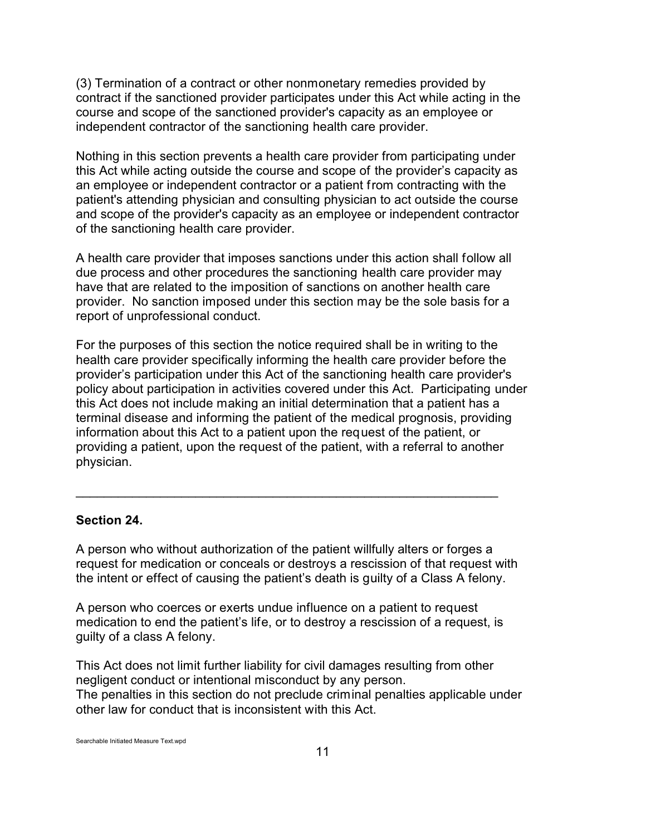(3) Termination of a contract or other nonmonetary remedies provided by contract if the sanctioned provider participates under this Act while acting in the course and scope of the sanctioned provider's capacity as an employee or independent contractor of the sanctioning health care provider.

Nothing in this section prevents a health care provider from participating under this Act while acting outside the course and scope of the provider's capacity as an employee or independent contractor or a patient from contracting with the patient's attending physician and consulting physician to act outside the course and scope of the provider's capacity as an employee or independent contractor of the sanctioning health care provider.

A health care provider that imposes sanctions under this action shall follow all due process and other procedures the sanctioning health care provider may have that are related to the imposition of sanctions on another health care provider. No sanction imposed under this section may be the sole basis for a report of unprofessional conduct.

For the purposes of this section the notice required shall be in writing to the health care provider specifically informing the health care provider before the provider's participation under this Act of the sanctioning health care provider's policy about participation in activities covered under this Act. Participating under this Act does not include making an initial determination that a patient has a terminal disease and informing the patient of the medical prognosis, providing information about this Act to a patient upon the request of the patient, or providing a patient, upon the request of the patient, with a referral to another physician.

### **Section 24.**

A person who without authorization of the patient willfully alters or forges a request for medication or conceals or destroys a rescission of that request with the intent or effect of causing the patient's death is guilty of a Class A felony.

\_\_\_\_\_\_\_\_\_\_\_\_\_\_\_\_\_\_\_\_\_\_\_\_\_\_\_\_\_\_\_\_\_\_\_\_\_\_\_\_\_\_\_\_\_\_\_\_\_\_\_\_\_\_\_\_\_\_\_\_

A person who coerces or exerts undue influence on a patient to request medication to end the patient's life, or to destroy a rescission of a request, is guilty of a class A felony.

This Act does not limit further liability for civil damages resulting from other negligent conduct or intentional misconduct by any person. The penalties in this section do not preclude criminal penalties applicable under other law for conduct that is inconsistent with this Act.